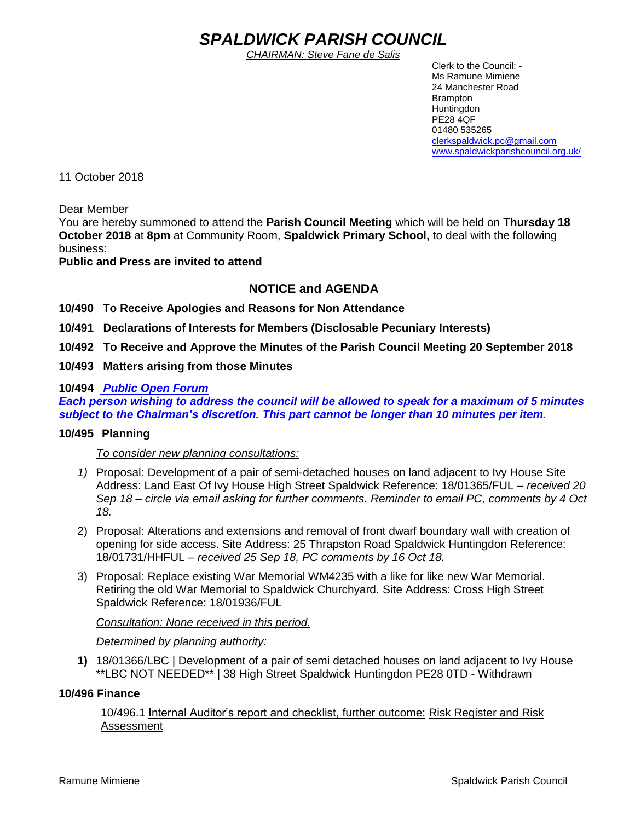# *SPALDWICK PARISH COUNCIL*

*CHAIRMAN: Steve Fane de Salis*

 Clerk to the Council: - Ms Ramune Mimiene 24 Manchester Road Brampton **Huntingdon** PE28 4QF 01480 535265 [clerkspaldwick.pc@gmail.com](mailto:clerkspaldwick.pc@gmail.com) [www.spaldwickparishcouncil.org.uk/](http://www.spaldwickparishcouncil.org.uk/)

11 October 2018

Dear Member

You are hereby summoned to attend the **Parish Council Meeting** which will be held on **Thursday 18 October 2018** at **8pm** at Community Room, **Spaldwick Primary School,** to deal with the following business:

## **Public and Press are invited to attend**

## **NOTICE and AGENDA**

**10/490 To Receive Apologies and Reasons for Non Attendance**

**10/491 Declarations of Interests for Members (Disclosable Pecuniary Interests)**

**10/492 To Receive and Approve the Minutes of the Parish Council Meeting 20 September 2018**

**10/493 Matters arising from those Minutes**

## **10/494** *Public Open Forum*

*Each person wishing to address the council will be allowed to speak for a maximum of 5 minutes subject to the Chairman's discretion. This part cannot be longer than 10 minutes per item.* 

### **10/495 Planning**

#### *To consider new planning consultations:*

- *1)* Proposal: Development of a pair of semi-detached houses on land adjacent to Ivy House Site Address: Land East Of Ivy House High Street Spaldwick Reference: 18/01365/FUL *– received 20 Sep 18 – circle via email asking for further comments. Reminder to email PC, comments by 4 Oct 18.*
- 2) Proposal: Alterations and extensions and removal of front dwarf boundary wall with creation of opening for side access. Site Address: 25 Thrapston Road Spaldwick Huntingdon Reference: 18/01731/HHFUL – *received 25 Sep 18, PC comments by 16 Oct 18.*
- 3) Proposal: Replace existing War Memorial WM4235 with a like for like new War Memorial. Retiring the old War Memorial to Spaldwick Churchyard. Site Address: Cross High Street Spaldwick Reference: 18/01936/FUL

#### *Consultation: None received in this period.*

#### *Determined by planning authority:*

**1)** 18/01366/LBC | Development of a pair of semi detached houses on land adjacent to Ivy House \*\*LBC NOT NEEDED\*\* | 38 High Street Spaldwick Huntingdon PE28 0TD - Withdrawn

#### **10/496 Finance**

10/496.1 Internal Auditor's report and checklist, further outcome: Risk Register and Risk Assessment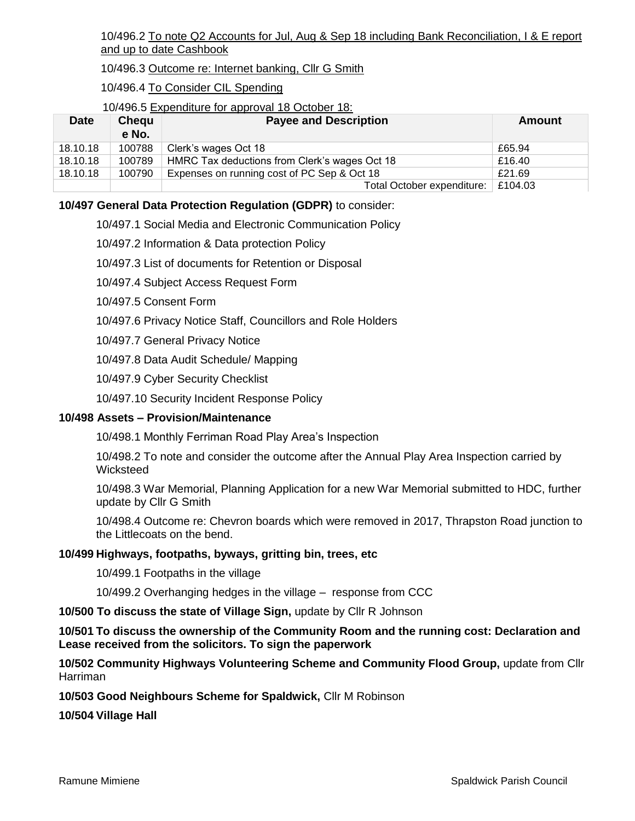10/496.2 To note Q2 Accounts for Jul, Aug & Sep 18 including Bank Reconciliation, I & E report and up to date Cashbook

10/496.3 Outcome re: Internet banking, Cllr G Smith

10/496.4 To Consider CIL Spending

#### 10/496.5 Expenditure for approval 18 October 18:

| <b>Date</b> | Chequ<br>e No. | <b>Payee and Description</b>                  | Amount  |
|-------------|----------------|-----------------------------------------------|---------|
| 18.10.18    | 100788         | Clerk's wages Oct 18                          | £65.94  |
| 18.10.18    | 100789         | HMRC Tax deductions from Clerk's wages Oct 18 | £16.40  |
| 18.10.18    | 100790         | Expenses on running cost of PC Sep & Oct 18   | £21.69  |
|             |                | Total October expenditure:                    | E104.03 |

## **10/497 General Data Protection Regulation (GDPR)** to consider:

10/497.1 Social Media and Electronic Communication Policy

10/497.2 Information & Data protection Policy

10/497.3 List of documents for Retention or Disposal

10/497.4 Subject Access Request Form

10/497.5 Consent Form

10/497.6 Privacy Notice Staff, Councillors and Role Holders

10/497.7 General Privacy Notice

10/497.8 Data Audit Schedule/ Mapping

10/497.9 Cyber Security Checklist

10/497.10 Security Incident Response Policy

#### **10/498 Assets – Provision/Maintenance**

10/498.1 Monthly Ferriman Road Play Area's Inspection

10/498.2 To note and consider the outcome after the Annual Play Area Inspection carried by Wicksteed

10/498.3 War Memorial, Planning Application for a new War Memorial submitted to HDC, further update by Cllr G Smith

10/498.4 Outcome re: Chevron boards which were removed in 2017, Thrapston Road junction to the Littlecoats on the bend.

#### **10/499 Highways, footpaths, byways, gritting bin, trees, etc**

10/499.1 Footpaths in the village

10/499.2 Overhanging hedges in the village – response from CCC

**10/500 To discuss the state of Village Sign,** update by Cllr R Johnson

**10/501 To discuss the ownership of the Community Room and the running cost: Declaration and Lease received from the solicitors. To sign the paperwork**

**10/502 Community Highways Volunteering Scheme and Community Flood Group,** update from Cllr Harriman

**10/503 Good Neighbours Scheme for Spaldwick,** Cllr M Robinson

**10/504 Village Hall**